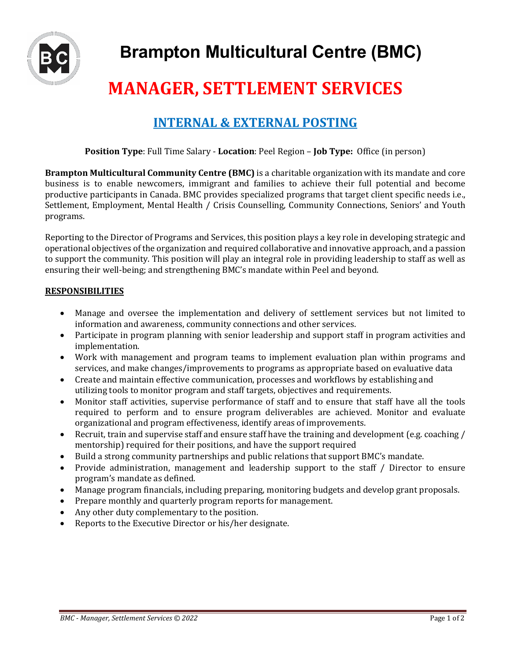

# **MANAGER, SETTLEMENT SERVICES**

# **INTERNAL & EXTERNAL POSTING**

**Position Type**: Full Time Salary - **Location**: Peel Region – **Job Type:** Office (in person)

**Brampton Multicultural Community Centre (BMC)** is a charitable organization with its mandate and core business is to enable newcomers, immigrant and families to achieve their full potential and become productive participants in Canada. BMC provides specialized programs that target client specific needs i.e., Settlement, Employment, Mental Health / Crisis Counselling, Community Connections, Seniors' and Youth programs.

Reporting to the Director of Programs and Services, this position plays a key role in developing strategic and operational objectives of the organization and required collaborative and innovative approach, and a passion to support the community. This position will play an integral role in providing leadership to staff as well as ensuring their well-being; and strengthening BMC's mandate within Peel and beyond.

#### **RESPONSIBILITIES**

- Manage and oversee the implementation and delivery of settlement services but not limited to information and awareness, community connections and other services.
- Participate in program planning with senior leadership and support staff in program activities and implementation.
- Work with management and program teams to implement evaluation plan within programs and services, and make changes/improvements to programs as appropriate based on evaluative data
- Create and maintain effective communication, processes and workflows by establishing and utilizing tools to monitor program and staff targets, objectives and requirements.
- Monitor staff activities, supervise performance of staff and to ensure that staff have all the tools required to perform and to ensure program deliverables are achieved. Monitor and evaluate organizational and program effectiveness, identify areas of improvements.
- Recruit, train and supervise staff and ensure staff have the training and development (e.g. coaching / mentorship) required for their positions, and have the support required
- Build a strong community partnerships and public relations that support BMC's mandate.
- Provide administration, management and leadership support to the staff / Director to ensure program's mandate as defined.
- Manage program financials, including preparing, monitoring budgets and develop grant proposals.
- Prepare monthly and quarterly program reports for management.
- Any other duty complementary to the position.
- Reports to the Executive Director or his/her designate.